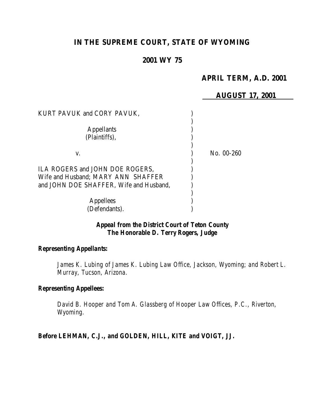# **IN THE SUPREME COURT, STATE OF WYOMING**

## **2001 WY 75**

## **APRIL TERM, A.D. 2001**

#### **AUGUST 17, 2001**

| KURT PAVUK and CORY PAVUK,                                                                                       |            |
|------------------------------------------------------------------------------------------------------------------|------------|
| <b>Appellants</b><br>(Plaintiffs),                                                                               |            |
| V.                                                                                                               | No. 00-260 |
| ILA ROGERS and JOHN DOE ROGERS,<br>Wife and Husband; MARY ANN SHAFFER<br>and JOHN DOE SHAFFER, Wife and Husband, |            |
| <b>Appellees</b><br>(Defendants).                                                                                |            |

## *Appeal from the District Court of Teton County The Honorable D. Terry Rogers, Judge*

#### *Representing Appellants:*

James K. Lubing of James K. Lubing Law Office, Jackson, Wyoming; and Robert L. *Murray, Tucson, Arizona.*

#### *Representing Appellees:*

*David B. Hooper and Tom A. Glassberg of Hooper Law Offices, P.C., Riverton, Wyoming.*

*Before LEHMAN, C.J., and GOLDEN, HILL, KITE and VOIGT, JJ.*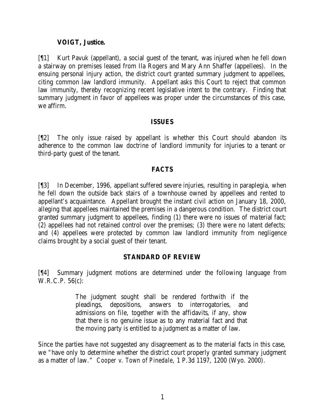### **VOIGT, Justice.**

[¶1] Kurt Pavuk (appellant), a social guest of the tenant, was injured when he fell down a stairway on premises leased from Ila Rogers and Mary Ann Shaffer (appellees). In the ensuing personal injury action, the district court granted summary judgment to appellees, citing common law landlord immunity. Appellant asks this Court to reject that common law immunity, thereby recognizing recent legislative intent to the contrary. Finding that summary judgment in favor of appellees was proper under the circumstances of this case, we affirm.

#### **ISSUES**

[¶2] The only issue raised by appellant is whether this Court should abandon its adherence to the common law doctrine of landlord immunity for injuries to a tenant or third-party guest of the tenant.

### **FACTS**

[¶3] In December, 1996, appellant suffered severe injuries, resulting in paraplegia, when he fell down the outside back stairs of a townhouse owned by appellees and rented to appellant's acquaintance. Appellant brought the instant civil action on January 18, 2000, alleging that appellees maintained the premises in a dangerous condition. The district court granted summary judgment to appellees, finding (1) there were no issues of material fact; (2) appellees had not retained control over the premises; (3) there were no latent defects; and (4) appellees were protected by common law landlord immunity from negligence claims brought by a social guest of their tenant.

#### **STANDARD OF REVIEW**

[¶4] Summary judgment motions are determined under the following language from W.R.C.P. 56(c):

> The judgment sought shall be rendered forthwith if the pleadings, depositions, answers to interrogatories, and admissions on file, together with the affidavits, if any, show that there is no genuine issue as to any material fact and that the moving party is entitled to a judgment as a matter of law.

Since the parties have not suggested any disagreement as to the material facts in this case, we "have only to determine whether the district court properly granted summary judgment as a matter of law." *Cooper v. Town of Pinedale*, 1 P.3d 1197, 1200 (Wyo. 2000).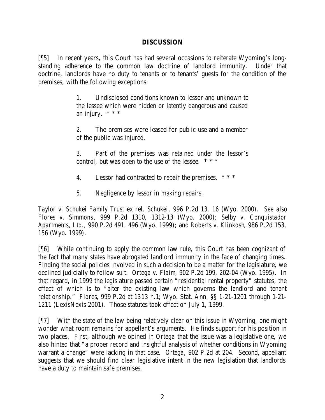#### **DISCUSSION**

[¶5] In recent years, this Court has had several occasions to reiterate Wyoming's longstanding adherence to the common law doctrine of landlord immunity. Under that doctrine, landlords have no duty to tenants or to tenants' guests for the condition of the premises, with the following exceptions:

> 1. Undisclosed conditions known to lessor and unknown to the lessee which were hidden or latently dangerous and caused an injury.  $***$

> 2. The premises were leased for public use and a member of the public was injured.

> 3. Part of the premises was retained under the lessor's control, but was open to the use of the lessee. \* \* \*

- 4. Lessor had contracted to repair the premises. \* \* \*
- 5. Negligence by lessor in making repairs.

*Taylor v. Schukei Family Trust ex rel. Schukei*, 996 P.2d 13, 16 (Wyo. 2000). *See also Flores v. Simmons*, 999 P.2d 1310, 1312-13 (Wyo. 2000); *Selby v. Conquistador Apartments, Ltd.*, 990 P.2d 491, 496 (Wyo. 1999); and *Roberts v. Klinkosh*, 986 P.2d 153, 156 (Wyo. 1999).

[¶6] While continuing to apply the common law rule, this Court has been cognizant of the fact that many states have abrogated landlord immunity in the face of changing times. Finding the social policies involved in such a decision to be a matter for the legislature, we declined judicially to follow suit. *Ortega v. Flaim*, 902 P.2d 199, 202-04 (Wyo. 1995). In that regard, in 1999 the legislature passed certain "residential rental property" statutes, the effect of which is to "alter the existing law which governs the landlord and tenant relationship." *Flores*, 999 P.2d at 1313 n.1; Wyo. Stat. Ann. §§ 1-21-1201 through 1-21- 1211 (LexisNexis 2001). Those statutes took effect on July 1, 1999.

[¶7] With the state of the law being relatively clear on this issue in Wyoming, one might wonder what room remains for appellant's arguments. He finds support for his position in two places. First, although we opined in *Ortega* that the issue was a legislative one, we also hinted that "a proper record and insightful analysis of whether conditions in Wyoming warrant a change" were lacking in that case. *Ortega*, 902 P.2d at 204. Second, appellant suggests that we should find clear legislative intent in the new legislation that landlords have a duty to maintain safe premises.